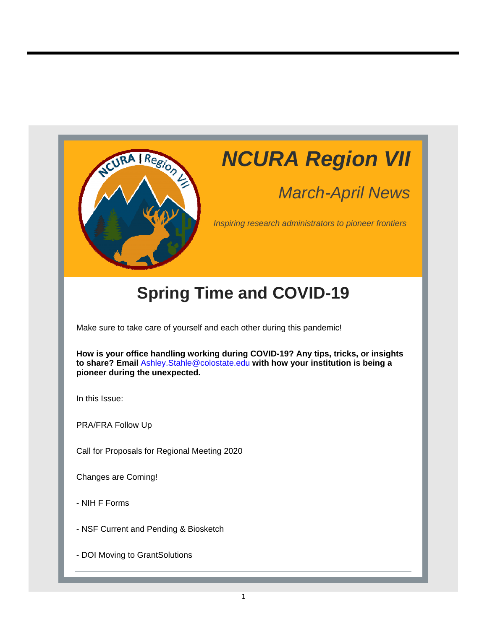

# *NCURA Region VII*

## *March-April News*

*Inspiring research administrators to pioneer frontiers*

## **Spring Time and COVID-19**

Make sure to take care of yourself and each other during this pandemic!

**How is your office handling working during COVID-19? Any tips, tricks, or insights to share? Email** Ashley.Stahle@colostate.edu **with how your institution is being a pioneer during the unexpected.** 

In this Issue:

PRA/FRA Follow Up

Call for Proposals for Regional Meeting 2020

Changes are Coming!

- NIH F Forms

- NSF Current and Pending & Biosketch

- DOI Moving to GrantSolutions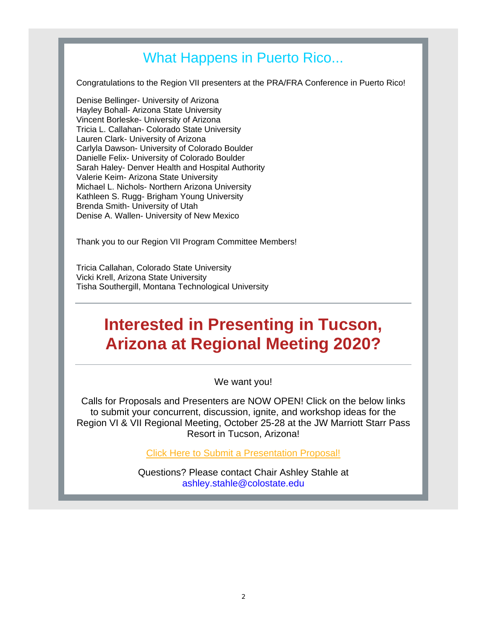### What Happens in Puerto Rico...

Congratulations to the Region VII presenters at the PRA/FRA Conference in Puerto Rico!

Denise Bellinger- University of Arizona Hayley Bohall- Arizona State University Vincent Borleske- University of Arizona Tricia L. Callahan- Colorado State University Lauren Clark- University of Arizona Carlyla Dawson- University of Colorado Boulder Danielle Felix- University of Colorado Boulder Sarah Haley- Denver Health and Hospital Authority Valerie Keim- Arizona State University Michael L. Nichols- Northern Arizona University Kathleen S. Rugg- Brigham Young University Brenda Smith- University of Utah Denise A. Wallen- University of New Mexico

Thank you to our Region VII Program Committee Members!

Tricia Callahan, Colorado State University Vicki Krell, Arizona State University Tisha Southergill, Montana Technological University

### **Interested in Presenting in Tucson, Arizona at Regional Meeting 2020?**

We want you!

Calls for Proposals and Presenters are NOW OPEN! Click on the below links to submit your concurrent, discussion, ignite, and workshop ideas for the Region VI & VII Regional Meeting, October 25-28 at the JW Marriott Starr Pass Resort in Tucson, Arizona!

Click Here to Submit a Presentation Proposal!

Questions? Please contact Chair Ashley Stahle at ashley.stahle@colostate.edu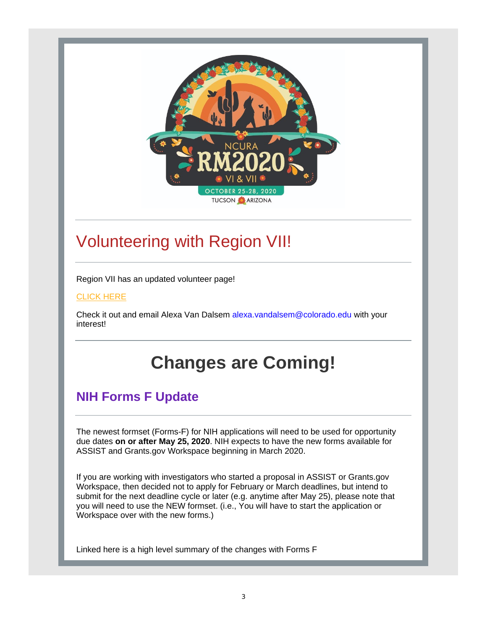

## Volunteering with Region VII!

Region VII has an updated volunteer page!

#### CLICK HERE

Check it out and email Alexa Van Dalsem alexa.vandalsem@colorado.edu with your interest!

## **Changes are Coming!**

### **NIH Forms F Update**

The newest formset (Forms-F) for NIH applications will need to be used for opportunity due dates **on or after May 25, 2020**. NIH expects to have the new forms available for ASSIST and Grants.gov Workspace beginning in March 2020.

If you are working with investigators who started a proposal in ASSIST or Grants.gov Workspace, then decided not to apply for February or March deadlines, but intend to submit for the next deadline cycle or later (e.g. anytime after May 25), please note that you will need to use the NEW formset. (i.e., You will have to start the application or Workspace over with the new forms.)

Linked here is a high level summary of the changes with Forms F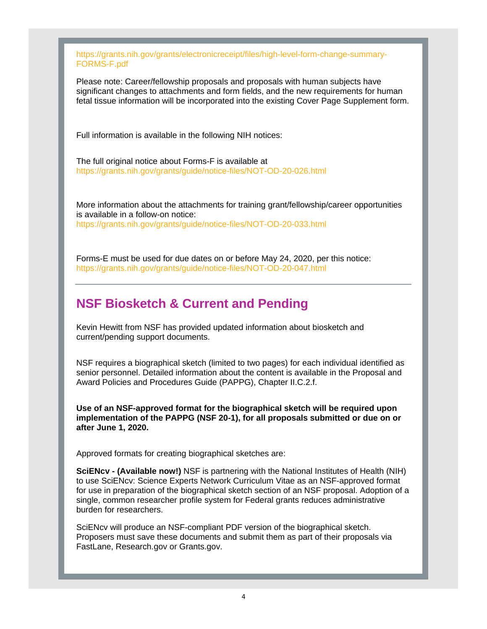https://grants.nih.gov/grants/electronicreceipt/files/high-level-form-change-summary-FORMS-F.pdf

Please note: Career/fellowship proposals and proposals with human subjects have significant changes to attachments and form fields, and the new requirements for human fetal tissue information will be incorporated into the existing Cover Page Supplement form.

Full information is available in the following NIH notices:

The full original notice about Forms-F is available at https://grants.nih.gov/grants/guide/notice-files/NOT-OD-20-026.html

More information about the attachments for training grant/fellowship/career opportunities is available in a follow-on notice: https://grants.nih.gov/grants/guide/notice-files/NOT-OD-20-033.html

Forms-E must be used for due dates on or before May 24, 2020, per this notice:

https://grants.nih.gov/grants/guide/notice-files/NOT-OD-20-047.html

### **NSF Biosketch & Current and Pending**

Kevin Hewitt from NSF has provided updated information about biosketch and current/pending support documents.

NSF requires a biographical sketch (limited to two pages) for each individual identified as senior personnel. Detailed information about the content is available in the Proposal and Award Policies and Procedures Guide (PAPPG), Chapter II.C.2.f.

**Use of an NSF-approved format for the biographical sketch will be required upon implementation of the PAPPG (NSF 20-1), for all proposals submitted or due on or after June 1, 2020.**

Approved formats for creating biographical sketches are:

**SciENcv - (Available now!)** NSF is partnering with the National Institutes of Health (NIH) to use SciENcv: Science Experts Network Curriculum Vitae as an NSF-approved format for use in preparation of the biographical sketch section of an NSF proposal. Adoption of a single, common researcher profile system for Federal grants reduces administrative burden for researchers.

SciENcv will produce an NSF-compliant PDF version of the biographical sketch. Proposers must save these documents and submit them as part of their proposals via FastLane, Research.gov or Grants.gov.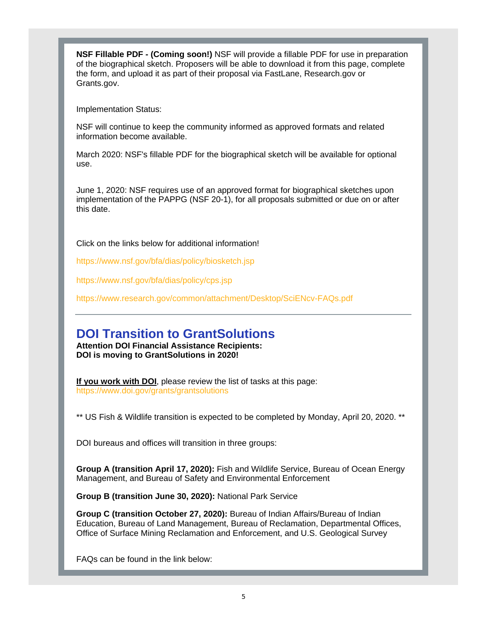**NSF Fillable PDF - (Coming soon!)** NSF will provide a fillable PDF for use in preparation of the biographical sketch. Proposers will be able to download it from this page, complete the form, and upload it as part of their proposal via FastLane, Research.gov or Grants.gov.

Implementation Status:

NSF will continue to keep the community informed as approved formats and related information become available.

March 2020: NSF's fillable PDF for the biographical sketch will be available for optional use.

June 1, 2020: NSF requires use of an approved format for biographical sketches upon implementation of the PAPPG (NSF 20-1), for all proposals submitted or due on or after this date.

Click on the links below for additional information!

https://www.nsf.gov/bfa/dias/policy/biosketch.jsp

https://www.nsf.gov/bfa/dias/policy/cps.jsp

https://www.research.gov/common/attachment/Desktop/SciENcv-FAQs.pdf

### **DOI Transition to GrantSolutions**

**Attention DOI Financial Assistance Recipients: DOI is moving to GrantSolutions in 2020!** 

**If you work with DOI**, please review the list of tasks at this page: https://www.doi.gov/grants/grantsolutions

\*\* US Fish & Wildlife transition is expected to be completed by Monday, April 20, 2020. \*\*

DOI bureaus and offices will transition in three groups:

**Group A (transition April 17, 2020):** Fish and Wildlife Service, Bureau of Ocean Energy Management, and Bureau of Safety and Environmental Enforcement

**Group B (transition June 30, 2020):** National Park Service

**Group C (transition October 27, 2020):** Bureau of Indian Affairs/Bureau of Indian Education, Bureau of Land Management, Bureau of Reclamation, Departmental Offices, Office of Surface Mining Reclamation and Enforcement, and U.S. Geological Survey

FAQs can be found in the link below: